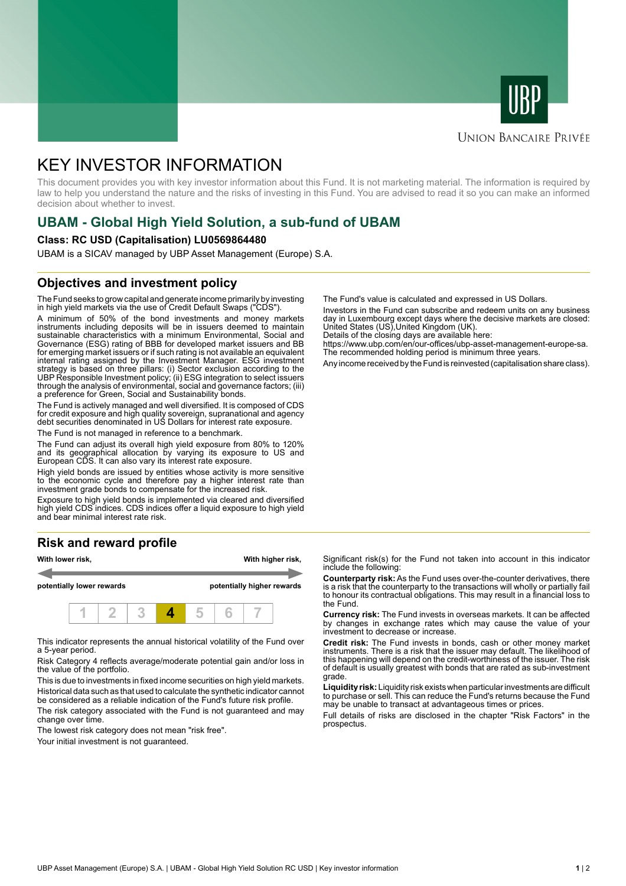



#### **UNION BANCAIRE PRIVÉE**

# KEY INVESTOR INFORMATION

This document provides you with key investor information about this Fund. It is not marketing material. The information is required by law to help you understand the nature and the risks of investing in this Fund. You are advised to read it so you can make an informed decision about whether to invest.

## **UBAM - Global High Yield Solution, a sub-fund of UBAM**

#### **Class: RC USD (Capitalisation) LU0569864480**

UBAM is a SICAV managed by UBP Asset Management (Europe) S.A.

#### **Objectives and investment policy**

The Fund seeks to grow capital and generate income primarily by investing in high yield markets via the use of Credit Default Swaps ("CDS").

A minimum of 50% of the bond investments and money markets instruments including deposits will be in issuers deemed to maintain sustainable characteristics with a minimum Environmental, Social and Governance (ESG) rating of BBB for developed market issuers and BB for emerging market issuers or if such rating is not available an equivalent internal rating assigned by the Investment Manager. ESG investment strategy is based on three pillars: (i) Sector exclusion according to the UBP Responsible Investment policy; (ii) ESG integration to select issuers through the analysis of environmental, social and governance factors; (iii) a preference for Green, Social and Sustainability bonds.

The Fund is actively managed and well diversified. It is composed of CDS for credit exposure and high quality sovereign, supranational and agency debt securities denominated in US Dollars for interest rate exposure.

The Fund is not managed in reference to a benchmark.

The Fund can adjust its overall high yield exposure from 80% to 120% and its geographical allocation by varying its exposure to US and European CDS. It can also vary its interest rate exposure.

High yield bonds are issued by entities whose activity is more sensitive to the economic cycle and therefore pay a higher interest rate than investment grade bonds to compensate for the increased risk.

Exposure to high yield bonds is implemented via cleared and diversified high yield CDS indices. CDS indices offer a liquid exposure to high yield and bear minimal interest rate risk.

### **Risk and reward profile**



This indicator represents the annual historical volatility of the Fund over a 5-year period.

Risk Category 4 reflects average/moderate potential gain and/or loss in the value of the portfolio.

This is due to investments in fixed income securities on high yield markets. Historical data such as that used to calculate the synthetic indicator cannot be considered as a reliable indication of the Fund's future risk profile. The risk category associated with the Fund is not guaranteed and may

change over time.

The lowest risk category does not mean "risk free".

Your initial investment is not guaranteed.

The Fund's value is calculated and expressed in US Dollars.

Investors in the Fund can subscribe and redeem units on any business day in Luxembourg except days where the decisive markets are closed: United States (US),United Kingdom (UK).

Details of the closing days are available here:

https://www.ubp.com/en/our-offices/ubp-asset-management-europe-sa. The recommended holding period is minimum three years.

Any income received by the Fund is reinvested (capitalisation share class).

Significant risk(s) for the Fund not taken into account in this indicator include the following:

**Counterparty risk:** As the Fund uses over-the-counter derivatives, there is a risk that the counterparty to the transactions will wholly or partially fail to honour its contractual obligations. This may result in a financial loss to the Fund.

**Currency risk:** The Fund invests in overseas markets. It can be affected by changes in exchange rates which may cause the value of your investment to decrease or increase.

**Credit risk:** The Fund invests in bonds, cash or other money market instruments. There is a risk that the issuer may default. The likelihood of this happening will depend on the credit-worthiness of the issuer. The risk of default is usually greatest with bonds that are rated as sub-investment grade.

**Liquidity risk:** Liquidity risk exists when particular investments are difficult to purchase or sell. This can reduce the Fund's returns because the Fund may be unable to transact at advantageous times or prices.

Full details of risks are disclosed in the chapter "Risk Factors" in the prospectus.